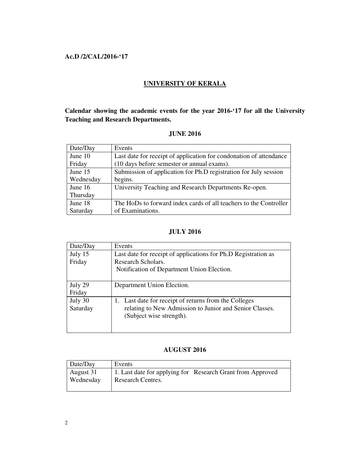## **Ac.D /2/CAL/2016-'17**

### **UNIVERSITY OF KERALA**

**Calendar showing the academic events for the year 2016-'17 for all the University Teaching and Research Departments.**

### **JUNE 2016**

| Date/Day  | Events                                                             |
|-----------|--------------------------------------------------------------------|
| June 10   | Last date for receipt of application for condonation of attendance |
| Friday    | (10 days before semester or annual exams).                         |
| June 15   | Submission of application for Ph.D registration for July session   |
| Wednesday | begins.                                                            |
| June 16   | University Teaching and Research Departments Re-open.              |
| Thursday  |                                                                    |
| June 18   | The HoDs to forward index cards of all teachers to the Controller  |
| Saturday  | of Examinations.                                                   |

## **JULY 2016**

| Date/Day | Events                                                         |
|----------|----------------------------------------------------------------|
| July 15  | Last date for receipt of applications for Ph.D Registration as |
| Friday   | Research Scholars.                                             |
|          | Notification of Department Union Election.                     |
|          |                                                                |
| July 29  | Department Union Election.                                     |
| Friday   |                                                                |
| July 30  | 1. Last date for receipt of returns from the Colleges          |
| Saturday | relating to New Admission to Junior and Senior Classes.        |
|          | (Subject wise strength).                                       |
|          |                                                                |
|          |                                                                |

### **AUGUST 2016**

| $\vert$ Date/Day | Events                                                     |
|------------------|------------------------------------------------------------|
| August 31        | 1. Last date for applying for Research Grant from Approved |
| Wednesday        | Research Centres.                                          |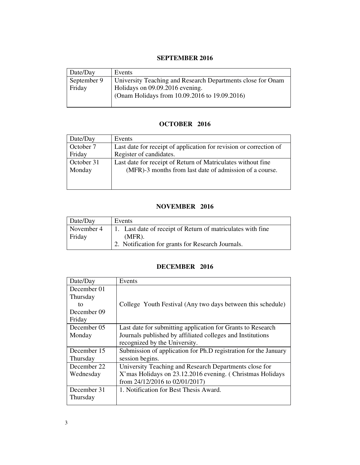### **SEPTEMBER 2016**

| Date/Day              | Events                                                                                                                                          |
|-----------------------|-------------------------------------------------------------------------------------------------------------------------------------------------|
| September 9<br>Friday | University Teaching and Research Departments close for Onam<br>Holidays on 09.09.2016 evening.<br>(Onam Holidays from 10.09.2016 to 19.09.2016) |

# **OCTOBER 2016**

| Date/Day   | Events                                                             |
|------------|--------------------------------------------------------------------|
| October 7  | Last date for receipt of application for revision or correction of |
| Friday     | Register of candidates.                                            |
| October 31 | Last date for receipt of Return of Matriculates without fine       |
| Monday     | (MFR)-3 months from last date of admission of a course.            |

## **NOVEMBER 2016**

| Date/Day   | Events                                                      |
|------------|-------------------------------------------------------------|
| November 4 | 1. Last date of receipt of Return of matriculates with fine |
| Friday     | $(MFR)$ .                                                   |
|            | 2. Notification for grants for Research Journals.           |

# **DECEMBER 2016**

| Date/Day                                               | Events                                                                                                                                                     |
|--------------------------------------------------------|------------------------------------------------------------------------------------------------------------------------------------------------------------|
| December 01<br>Thursday<br>to<br>December 09<br>Friday | College Youth Festival (Any two days between this schedule)                                                                                                |
| December 05<br>Monday                                  | Last date for submitting application for Grants to Research<br>Journals published by affiliated colleges and Institutions<br>recognized by the University. |
| December 15<br>Thursday                                | Submission of application for Ph.D registration for the January<br>session begins.                                                                         |
| December 22<br>Wednesday                               | University Teaching and Research Departments close for<br>X'mas Holidays on 23.12.2016 evening. (Christmas Holidays<br>from $24/12/2016$ to $02/01/2017$ ) |
| December 31<br>Thursday                                | 1. Notification for Best Thesis Award.                                                                                                                     |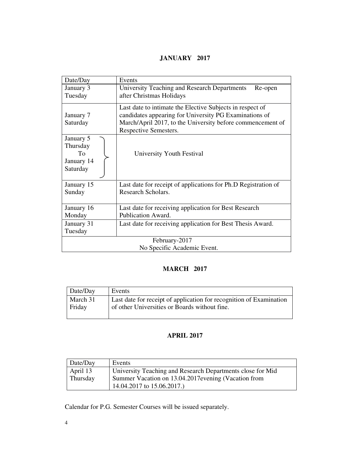# **JANUARY 2017**

| Date/Day      | Events                                                                                                              |
|---------------|---------------------------------------------------------------------------------------------------------------------|
| January 3     | University Teaching and Research Departments<br>Re-open                                                             |
| Tuesday       | after Christmas Holidays                                                                                            |
| January 7     | Last date to intimate the Elective Subjects in respect of<br>candidates appearing for University PG Examinations of |
| Saturday      | March/April 2017, to the University before commencement of                                                          |
|               | Respective Semesters.                                                                                               |
| January 5     |                                                                                                                     |
| Thursday      |                                                                                                                     |
| To            | University Youth Festival                                                                                           |
| January 14    |                                                                                                                     |
| Saturday      |                                                                                                                     |
| January 15    | Last date for receipt of applications for Ph.D Registration of                                                      |
| Sunday        | Research Scholars.                                                                                                  |
|               |                                                                                                                     |
| January 16    | Last date for receiving application for Best Research                                                               |
| Monday        | Publication Award.                                                                                                  |
| January 31    | Last date for receiving application for Best Thesis Award.                                                          |
| Tuesday       |                                                                                                                     |
| February-2017 |                                                                                                                     |
|               | No Specific Academic Event.                                                                                         |

# **MARCH 2017**

| $\vert$ Date/Day | Events                                                              |
|------------------|---------------------------------------------------------------------|
| March 31         | Last date for receipt of application for recognition of Examination |
| Friday           | of other Universities or Boards without fine.                       |

# **APRIL 2017**

| $\vert$ Date/Day | Events                                                     |
|------------------|------------------------------------------------------------|
| April 13         | University Teaching and Research Departments close for Mid |
| Thursday         | Summer Vacation on 13.04.2017 evening (Vacation from       |
|                  | 14.04.2017 to 15.06.2017.)                                 |

Calendar for P.G. Semester Courses will be issued separately.